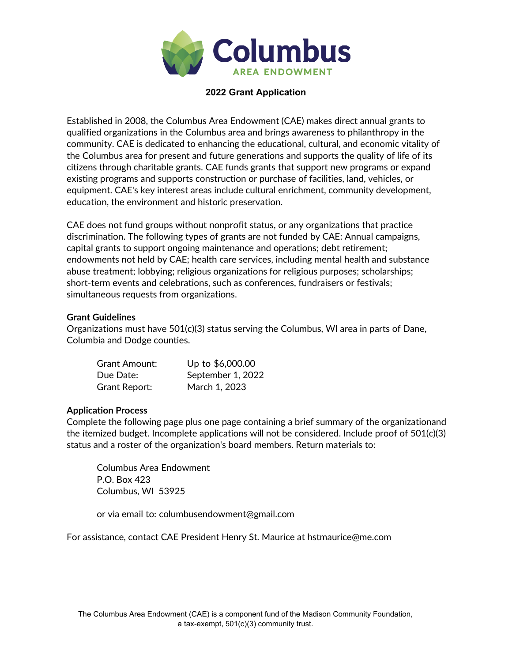

## **2022 Grant Application**

Established in 2008, the Columbus Area Endowment (CAE) makes direct annual grants to qualified organizations in the Columbus area and brings awareness to philanthropy in the community. CAE is dedicated to enhancing the educational, cultural, and economic vitality of the Columbus area for present and future generations and supports the quality of life of its citizens through charitable grants. CAE funds grants that support new programs or expand existing programs and supports construction or purchase of facilities, land, vehicles, or equipment. CAE's key interest areas include cultural enrichment, community development, education, the environment and historic preservation.

CAE does not fund groups without nonprofit status, or any organizations that practice discrimination. The following types of grants are not funded by CAE: Annual campaigns, capital grants to support ongoing maintenance and operations; debt retirement; endowments not held by CAE; health care services, including mental health and substance abuse treatment; lobbying; religious organizations for religious purposes; scholarships; short-term events and celebrations, such as conferences, fundraisers or festivals; simultaneous requests from organizations.

## **Grant Guidelines**

Organizations must have 501(c)(3) status serving the Columbus, WI area in parts of Dane, Columbia and Dodge counties.

| <b>Grant Amount:</b> | Up to \$6,000.00  |
|----------------------|-------------------|
| Due Date:            | September 1, 2022 |
| <b>Grant Report:</b> | March 1, 2023     |

## **Application Process**

Complete the following page plus one page containing a brief summary of the organizationand the itemized budget. Incomplete applications will not be considered. Include proof of 501(c)(3) status and a roster of the organization's board members. Return materials to:

Columbus Area Endowment P.O. Box 423 Columbus, WI 53925

or via email to: [columbusendowment@gmail.com](mailto:columbusendowment@gmail.com)

For assistance, contact CAE President Henry St. Maurice at [hstmaurice@me.com](mailto:hstmaurice@me.com)